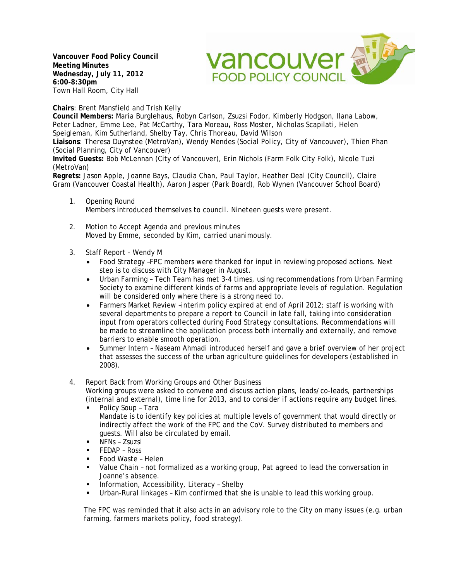**Vancouver Food Policy Council Meeting Minutes Wednesday, July 11, 2012 6:00-8:30pm** Town Hall Room, City Hall



**Chairs**: Brent Mansfield and Trish Kelly

**Council Members:** Maria Burglehaus, Robyn Carlson, Zsuzsi Fodor, Kimberly Hodgson, Ilana Labow, Peter Ladner, Emme Lee, Pat McCarthy, Tara Moreau**,** Ross Moster, Nicholas Scapilati, Helen Speigleman, Kim Sutherland, Shelby Tay, Chris Thoreau, David Wilson

**Liaisons**: Theresa Duynstee (MetroVan), Wendy Mendes (Social Policy, City of Vancouver), Thien Phan (Social Planning, City of Vancouver)

**Invited Guests:** Bob McLennan (City of Vancouver), Erin Nichols (Farm Folk City Folk), Nicole Tuzi (MetroVan)

**Regrets:** Jason Apple, Joanne Bays, Claudia Chan, Paul Taylor, Heather Deal (City Council), Claire Gram (Vancouver Coastal Health), Aaron Jasper (Park Board), Rob Wynen (Vancouver School Board)

- 1. Opening Round Members introduced themselves to council. Nineteen guests were present.
- 2. Motion to Accept Agenda and previous minutes Moved by Emme, seconded by Kim, carried unanimously.
- 3. Staff Report Wendy M
	- Food Strategy -FPC members were thanked for input in reviewing proposed actions. Next step is to discuss with City Manager in August.
	- Urban Farming Tech Team has met 3-4 times, using recommendations from Urban Farming Society to examine different kinds of farms and appropriate levels of regulation. Regulation will be considered only where there is a strong need to.
	- Farmers Market Review -interim policy expired at end of April 2012; staff is working with several departments to prepare a report to Council in late fall, taking into consideration input from operators collected during Food Strategy consultations. Recommendations will be made to streamline the application process both internally and externally, and remove barriers to enable smooth operation.
	- Summer Intern Naseam Ahmadi introduced herself and gave a brief overview of her project that assesses the success of the urban agriculture guidelines for developers (established in 2008).

## 4. Report Back from Working Groups and Other Business Working groups were asked to convene and discuss action plans, leads/co-leads, partnerships (internal and external), time line for 2013, and to consider if actions require any budget lines.

- Policy Soup Tara Mandate is to identify key policies at multiple levels of government that would directly or indirectly affect the work of the FPC and the CoV. Survey distributed to members and guests. Will also be circulated by email.
- NFNs Zsuzsi
- FEDAP Ross
- Food Waste Helen
- Value Chain not formalized as a working group, Pat agreed to lead the conversation in Joanne's absence.
- Information, Accessibility, Literacy Shelby
- Urban-Rural linkages Kim confirmed that she is unable to lead this working group.

The FPC was reminded that it also acts in an advisory role to the City on many issues (e.g. urban farming, farmers markets policy, food strategy).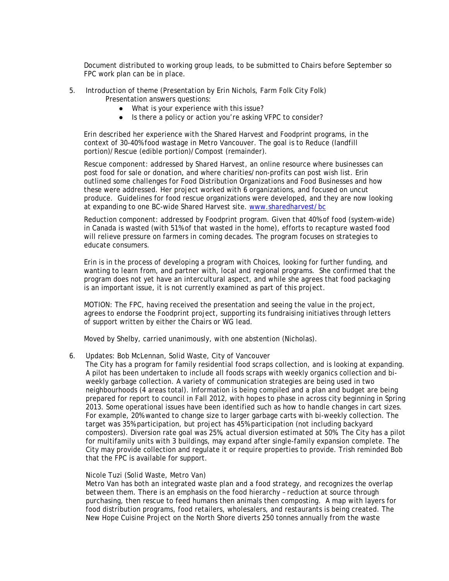Document distributed to working group leads, to be submitted to Chairs before September so FPC work plan can be in place.

- 5. Introduction of theme (Presentation by Erin Nichols, Farm Folk City Folk) Presentation answers questions:
	- What is your experience with this issue?
	- Is there a policy or action you're asking VFPC to consider?

Erin described her experience with the Shared Harvest and Foodprint programs, in the context of 30-40% food wastage in Metro Vancouver. The goal is to Reduce (landfill portion)/Rescue (edible portion)/Compost (remainder).

Rescue component: addressed by Shared Harvest, an online resource where businesses can post food for sale or donation, and where charities/non-profits can post wish list. Erin outlined some challenges for Food Distribution Organizations and Food Businesses and how these were addressed. Her project worked with 6 organizations, and focused on uncut produce. Guidelines for food rescue organizations were developed, and they are now looking at expanding to one BC-wide Shared Harvest site. [www.sharedharvest/bc](http://www.sharedharvest/bc)

Reduction component: addressed by Foodprint program. Given that 40% of food (system-wide) in Canada is wasted (with 51% of that wasted in the home), efforts to recapture wasted food will relieve pressure on farmers in coming decades. The program focuses on strategies to educate consumers.

Erin is in the process of developing a program with Choices, looking for further funding, and wanting to learn from, and partner with, local and regional programs. She confirmed that the program does not yet have an intercultural aspect, and while she agrees that food packaging is an important issue, it is not currently examined as part of this project.

MOTION: The FPC, having received the presentation and seeing the value in the project, agrees to endorse the Foodprint project, supporting its fundraising initiatives through letters of support written by either the Chairs or WG lead.

Moved by Shelby, carried unanimously, with one abstention (Nicholas).

6. Updates: Bob McLennan, Solid Waste, City of Vancouver

The City has a program for family residential food scraps collection, and is looking at expanding. A pilot has been undertaken to include all foods scraps with weekly organics collection and biweekly garbage collection. A variety of communication strategies are being used in two neighbourhoods (4 areas total). Information is being compiled and a plan and budget are being prepared for report to council in Fall 2012, with hopes to phase in across city beginning in Spring 2013. Some operational issues have been identified such as how to handle changes in cart sizes. For example, 20% wanted to change size to larger garbage carts with bi-weekly collection. The target was 35% participation, but project has 45% participation (not including backyard composters). Diversion rate goal was 25%, actual diversion estimated at 50%. The City has a pilot for multifamily units with 3 buildings, may expand after single-family expansion complete. The City may provide collection and regulate it or require properties to provide. Trish reminded Bob that the FPC is available for support.

## Nicole Tuzi (Solid Waste, Metro Van)

Metro Van has both an integrated waste plan and a food strategy, and recognizes the overlap between them. There is an emphasis on the food hierarchy – reduction at source through purchasing, then rescue to feed humans then animals then composting. A map with layers for food distribution programs, food retailers, wholesalers, and restaurants is being created. The New Hope Cuisine Project on the North Shore diverts 250 tonnes annually from the waste